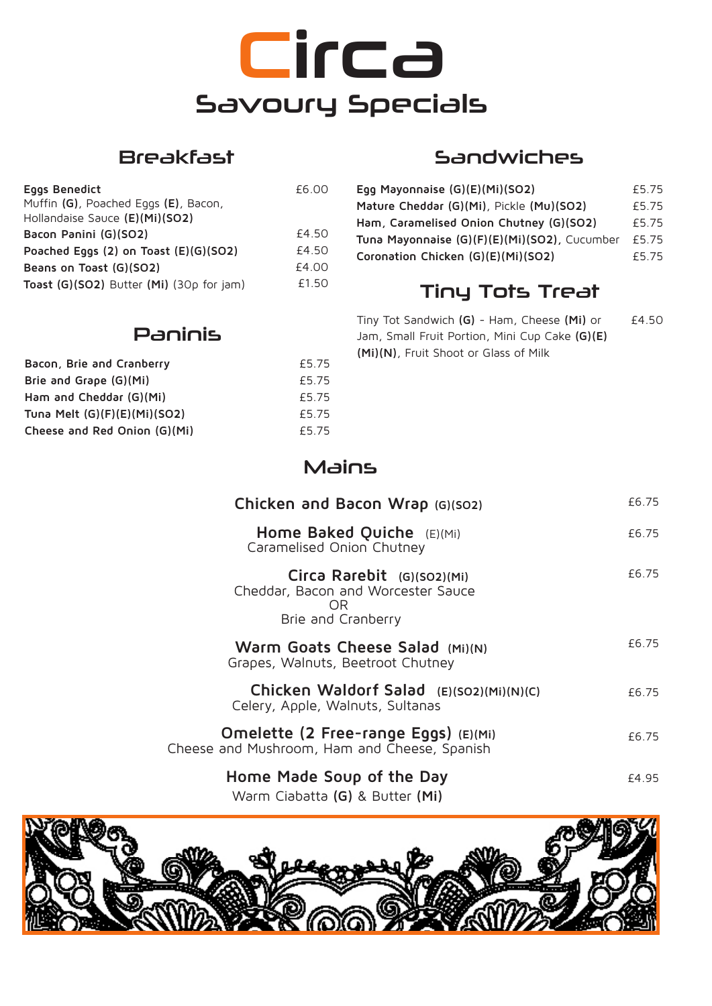# **Circa** Savoury Specials

### Breakfast

| £6.00 |
|-------|
|       |
|       |
| £4.50 |
| £4.50 |
| £4.00 |
| £1.50 |
|       |

### Sandwiches

| Egg Mayonnaise (G)(E)(Mi)(SO2)               | £5.75 |
|----------------------------------------------|-------|
| Mature Cheddar (G)(Mi), Pickle (Mu)(SO2)     | £5.75 |
| Ham, Caramelised Onion Chutney (G)(SO2)      | £5.75 |
| Tuna Mayonnaise (G)(F)(E)(Mi)(SO2), Cucumber | £5.75 |
| Coronation Chicken (G)(E)(Mi)(SO2)           | £5.75 |

## Tiny Tots Treat

Tiny Tot Sandwich **(G)** - Ham, Cheese **(Mi)** or Jam, Small Fruit Portion, Mini Cup Cake **(G)(E) (Mi)(N)**, Fruit Shoot or Glass of Milk £4.50

#### Paninis

| Bacon, Brie and Cranberry      | £5.75 |
|--------------------------------|-------|
| Brie and Grape (G)(Mi)         | £5.75 |
| Ham and Cheddar (G)(Mi)        | £5.75 |
| Tuna Melt $(G)(F)(E)(Mi)(SO2)$ | £5.75 |
| Cheese and Red Onion (G)(Mi)   | £5.75 |

## Mains

| Chicken and Bacon Wrap (G)(SO2)                                                               | £6.75 |
|-----------------------------------------------------------------------------------------------|-------|
| Home Baked Quiche $(E)(Mi)$<br>Caramelised Onion Chutney                                      | £6.75 |
| Circa Rarebit (G)(SO2)(Mi)<br>Cheddar, Bacon and Worcester Sauce<br>OR.<br>Brie and Cranberry | £6.75 |
| Warm Goats Cheese Salad (Mi)(N)<br>Grapes, Walnuts, Beetroot Chutney                          | £6.75 |
| Chicken Waldorf Salad (E)(SO2)(Mi)(N)(C)<br>Celery, Apple, Walnuts, Sultanas                  | £6.75 |
| Omelette (2 Free-range Eggs) (E)(Mi)<br>Cheese and Mushroom, Ham and Cheese, Spanish          | £6.75 |
| Home Made Soup of the Day<br>Warm Ciabatta (G) & Butter (Mi)                                  | £4.95 |